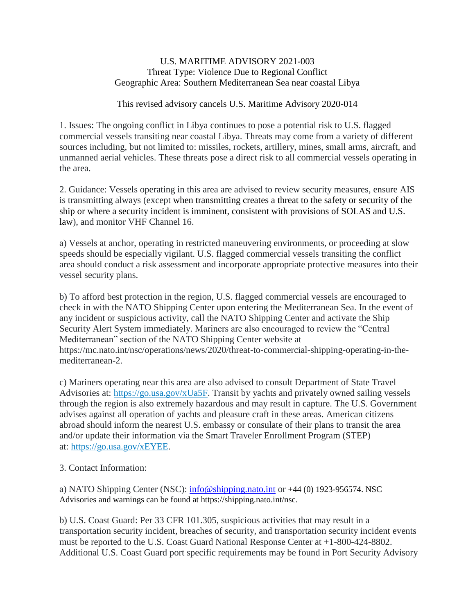## U.S. MARITIME ADVISORY 2021-003 Threat Type: Violence Due to Regional Conflict Geographic Area: Southern Mediterranean Sea near coastal Libya

## This revised advisory cancels U.S. Maritime Advisory 2020-014

1. Issues: The ongoing conflict in Libya continues to pose a potential risk to U.S. flagged commercial vessels transiting near coastal Libya. Threats may come from a variety of different sources including, but not limited to: missiles, rockets, artillery, mines, small arms, aircraft, and unmanned aerial vehicles. These threats pose a direct risk to all commercial vessels operating in the area.

2. Guidance: Vessels operating in this area are advised to review security measures, ensure AIS is transmitting always (except when transmitting creates a threat to the safety or security of the ship or where a security incident is imminent, consistent with provisions of SOLAS and U.S. law), and monitor VHF Channel 16.

a) Vessels at anchor, operating in restricted maneuvering environments, or proceeding at slow speeds should be especially vigilant. U.S. flagged commercial vessels transiting the conflict area should conduct a risk assessment and incorporate appropriate protective measures into their vessel security plans.

b) To afford best protection in the region, U.S. flagged commercial vessels are encouraged to check in with the NATO Shipping Center upon entering the Mediterranean Sea. In the event of any incident or suspicious activity, call the NATO Shipping Center and activate the Ship Security Alert System immediately. Mariners are also encouraged to review the "Central Mediterranean" section of the NATO Shipping Center website at https://mc.nato.int/nsc/operations/news/2020/threat-to-commercial-shipping-operating-in-themediterranean-2.

c) Mariners operating near this area are also advised to consult Department of State Travel Advisories at: [https://go.usa.gov/xUa5F.](https://go.usa.gov/xUa5F) Transit by yachts and privately owned sailing vessels through the region is also extremely hazardous and may result in capture. The U.S. Government advises against all operation of yachts and pleasure craft in these areas. American citizens abroad should inform the nearest U.S. embassy or consulate of their plans to transit the area and/or update their information via the Smart Traveler Enrollment Program (STEP) at: [https://go.usa.gov/xEYEE.](https://go.usa.gov/xEYEE)

3. Contact Information:

a) NATO Shipping Center (NSC): [info@shipping.nato.int](mailto:info@shipping.nato.int) or +44 (0) 1923-956574. NSC Advisories and warnings can be found at https://shipping.nato.int/nsc.

b) U.S. Coast Guard: Per 33 CFR 101.305, suspicious activities that may result in a transportation security incident, breaches of security, and transportation security incident events must be reported to the U.S. Coast Guard National Response Center at +1-800-424-8802. Additional U.S. Coast Guard port specific requirements may be found in Port Security Advisory